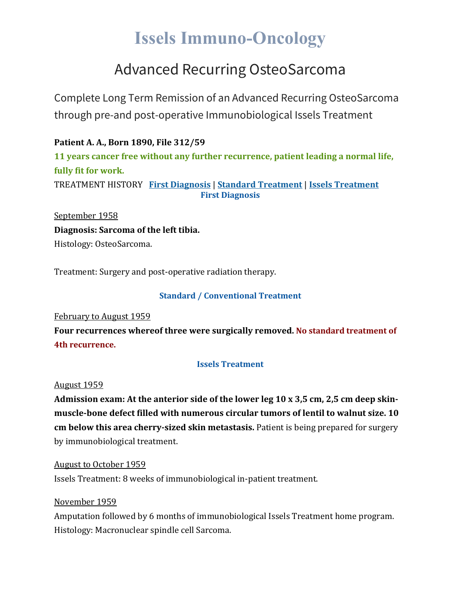# **Issels Immuno-Oncology**

## Advanced Recurring OsteoSarcoma

Complete Long Term Remission of an Advanced Recurring OsteoSarcoma through pre-and post-operative Immunobiological Issels Treatment

**Patient A. A., Born 1890, File 312/59 11 years cancer free without any further recurrence, patient leading a normal life, fully fit for work.** TREATMENT HISTORY **First [Diagnosis](https://issels.com/cancer-cases/sarcoma-7-advanced-recurring-osteosarcoma/#First)** | **Standard [Treatment](https://issels.com/cancer-cases/sarcoma-7-advanced-recurring-osteosarcoma/#Standard)** | **Issels [Treatment](https://issels.com/cancer-cases/sarcoma-7-advanced-recurring-osteosarcoma/#Issels) First Diagnosis**

September 1958 **Diagnosis: Sarcoma of the left tibia.** Histology: OsteoSarcoma.

Treatment: Surgery and post-operative radiation therapy.

### **Standard / Conventional Treatment**

February to August 1959

**Four recurrences whereof three were surgically removed. No standard treatment of 4th recurrence.**

#### **Issels Treatment**

August 1959

**Admission exam: At the anterior side of the lower leg 10 x 3,5 cm, 2,5 cm deep skinmuscle-bone defect filled with numerous circular tumors of lentil to walnut size. 10 cm below this area cherry-sized skin metastasis.** Patient is being prepared for surgery by immunobiological treatment.

August to October 1959 Issels Treatment: 8 weeks of immunobiological in-patient treatment.

November 1959

Amputation followed by 6 months of immunobiological Issels Treatment home program. Histology: Macronuclear spindle cell Sarcoma.